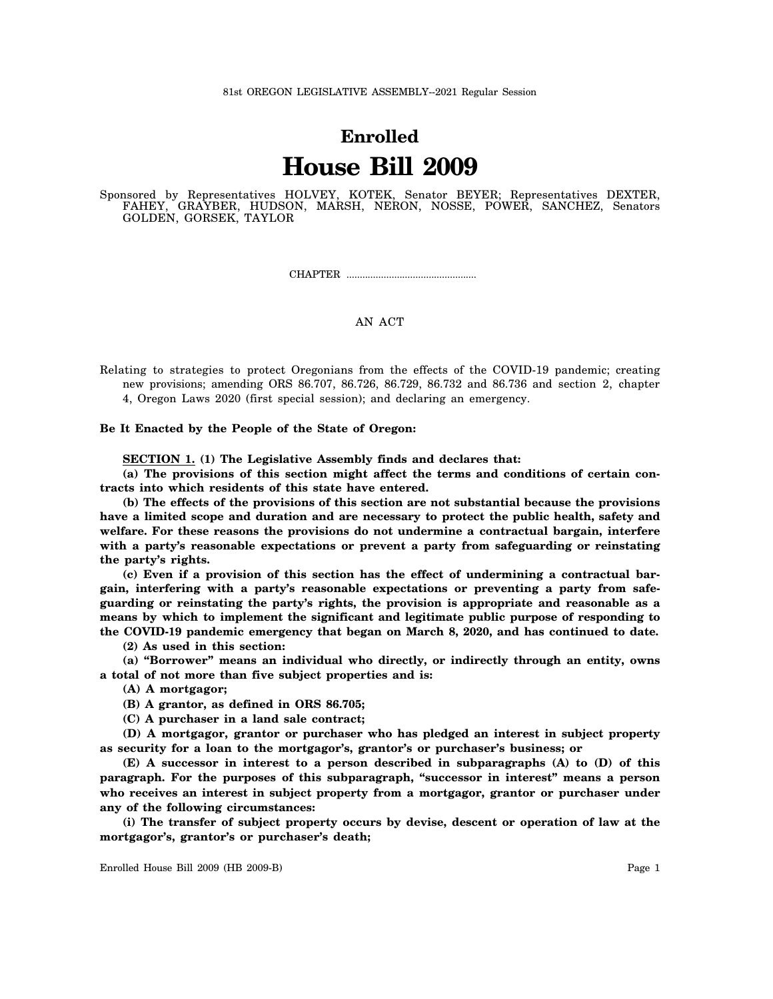## **Enrolled House Bill 2009**

Sponsored by Representatives HOLVEY, KOTEK, Senator BEYER; Representatives DEXTER, FAHEY, GRAYBER, HUDSON, MARSH, NERON, NOSSE, POWER, SANCHEZ, Senators GOLDEN, GORSEK, TAYLOR

CHAPTER .................................................

## AN ACT

Relating to strategies to protect Oregonians from the effects of the COVID-19 pandemic; creating new provisions; amending ORS 86.707, 86.726, 86.729, 86.732 and 86.736 and section 2, chapter 4, Oregon Laws 2020 (first special session); and declaring an emergency.

**Be It Enacted by the People of the State of Oregon:**

**SECTION 1. (1) The Legislative Assembly finds and declares that:**

**(a) The provisions of this section might affect the terms and conditions of certain contracts into which residents of this state have entered.**

**(b) The effects of the provisions of this section are not substantial because the provisions have a limited scope and duration and are necessary to protect the public health, safety and welfare. For these reasons the provisions do not undermine a contractual bargain, interfere with a party's reasonable expectations or prevent a party from safeguarding or reinstating the party's rights.**

**(c) Even if a provision of this section has the effect of undermining a contractual bargain, interfering with a party's reasonable expectations or preventing a party from safeguarding or reinstating the party's rights, the provision is appropriate and reasonable as a means by which to implement the significant and legitimate public purpose of responding to the COVID-19 pandemic emergency that began on March 8, 2020, and has continued to date.**

**(2) As used in this section:**

**(a) "Borrower" means an individual who directly, or indirectly through an entity, owns a total of not more than five subject properties and is:**

**(A) A mortgagor;**

**(B) A grantor, as defined in ORS 86.705;**

**(C) A purchaser in a land sale contract;**

**(D) A mortgagor, grantor or purchaser who has pledged an interest in subject property as security for a loan to the mortgagor's, grantor's or purchaser's business; or**

**(E) A successor in interest to a person described in subparagraphs (A) to (D) of this paragraph. For the purposes of this subparagraph, "successor in interest" means a person who receives an interest in subject property from a mortgagor, grantor or purchaser under any of the following circumstances:**

**(i) The transfer of subject property occurs by devise, descent or operation of law at the mortgagor's, grantor's or purchaser's death;**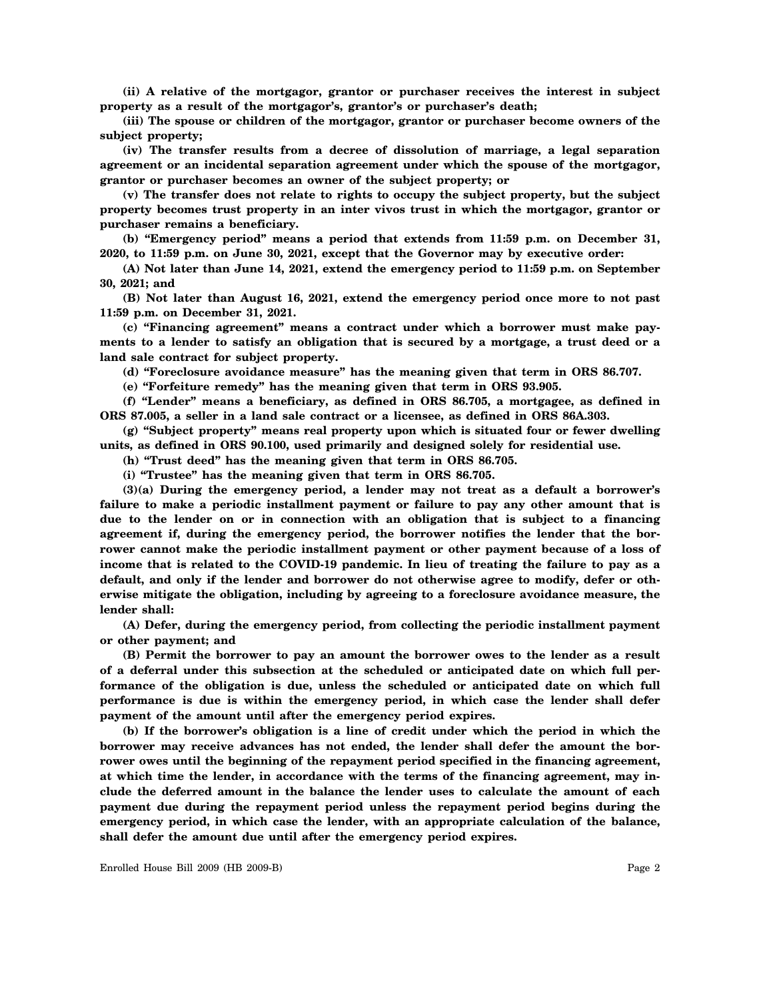**(ii) A relative of the mortgagor, grantor or purchaser receives the interest in subject property as a result of the mortgagor's, grantor's or purchaser's death;**

**(iii) The spouse or children of the mortgagor, grantor or purchaser become owners of the subject property;**

**(iv) The transfer results from a decree of dissolution of marriage, a legal separation agreement or an incidental separation agreement under which the spouse of the mortgagor, grantor or purchaser becomes an owner of the subject property; or**

**(v) The transfer does not relate to rights to occupy the subject property, but the subject property becomes trust property in an inter vivos trust in which the mortgagor, grantor or purchaser remains a beneficiary.**

**(b) "Emergency period" means a period that extends from 11:59 p.m. on December 31, 2020, to 11:59 p.m. on June 30, 2021, except that the Governor may by executive order:**

**(A) Not later than June 14, 2021, extend the emergency period to 11:59 p.m. on September 30, 2021; and**

**(B) Not later than August 16, 2021, extend the emergency period once more to not past 11:59 p.m. on December 31, 2021.**

**(c) "Financing agreement" means a contract under which a borrower must make payments to a lender to satisfy an obligation that is secured by a mortgage, a trust deed or a land sale contract for subject property.**

**(d) "Foreclosure avoidance measure" has the meaning given that term in ORS 86.707.**

**(e) "Forfeiture remedy" has the meaning given that term in ORS 93.905.**

**(f) "Lender" means a beneficiary, as defined in ORS 86.705, a mortgagee, as defined in ORS 87.005, a seller in a land sale contract or a licensee, as defined in ORS 86A.303.**

**(g) "Subject property" means real property upon which is situated four or fewer dwelling units, as defined in ORS 90.100, used primarily and designed solely for residential use.**

**(h) "Trust deed" has the meaning given that term in ORS 86.705.**

**(i) "Trustee" has the meaning given that term in ORS 86.705.**

**(3)(a) During the emergency period, a lender may not treat as a default a borrower's failure to make a periodic installment payment or failure to pay any other amount that is due to the lender on or in connection with an obligation that is subject to a financing agreement if, during the emergency period, the borrower notifies the lender that the borrower cannot make the periodic installment payment or other payment because of a loss of income that is related to the COVID-19 pandemic. In lieu of treating the failure to pay as a default, and only if the lender and borrower do not otherwise agree to modify, defer or otherwise mitigate the obligation, including by agreeing to a foreclosure avoidance measure, the lender shall:**

**(A) Defer, during the emergency period, from collecting the periodic installment payment or other payment; and**

**(B) Permit the borrower to pay an amount the borrower owes to the lender as a result of a deferral under this subsection at the scheduled or anticipated date on which full performance of the obligation is due, unless the scheduled or anticipated date on which full performance is due is within the emergency period, in which case the lender shall defer payment of the amount until after the emergency period expires.**

**(b) If the borrower's obligation is a line of credit under which the period in which the borrower may receive advances has not ended, the lender shall defer the amount the borrower owes until the beginning of the repayment period specified in the financing agreement, at which time the lender, in accordance with the terms of the financing agreement, may include the deferred amount in the balance the lender uses to calculate the amount of each payment due during the repayment period unless the repayment period begins during the emergency period, in which case the lender, with an appropriate calculation of the balance, shall defer the amount due until after the emergency period expires.**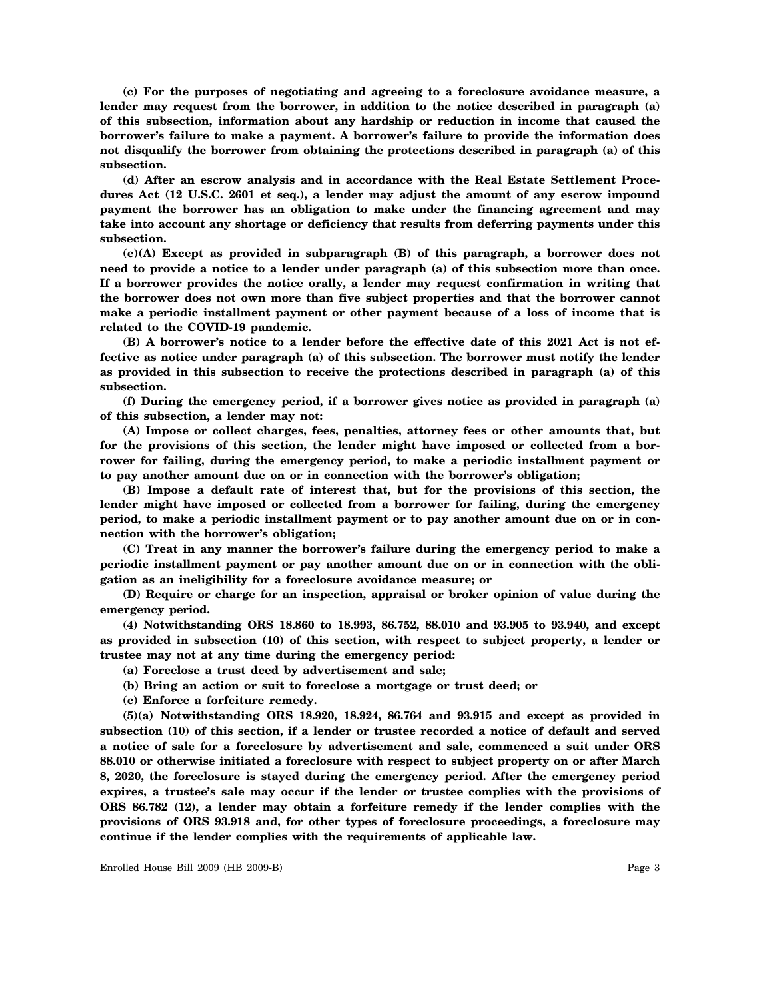**(c) For the purposes of negotiating and agreeing to a foreclosure avoidance measure, a lender may request from the borrower, in addition to the notice described in paragraph (a) of this subsection, information about any hardship or reduction in income that caused the borrower's failure to make a payment. A borrower's failure to provide the information does not disqualify the borrower from obtaining the protections described in paragraph (a) of this subsection.**

**(d) After an escrow analysis and in accordance with the Real Estate Settlement Procedures Act (12 U.S.C. 2601 et seq.), a lender may adjust the amount of any escrow impound payment the borrower has an obligation to make under the financing agreement and may take into account any shortage or deficiency that results from deferring payments under this subsection.**

**(e)(A) Except as provided in subparagraph (B) of this paragraph, a borrower does not need to provide a notice to a lender under paragraph (a) of this subsection more than once. If a borrower provides the notice orally, a lender may request confirmation in writing that the borrower does not own more than five subject properties and that the borrower cannot make a periodic installment payment or other payment because of a loss of income that is related to the COVID-19 pandemic.**

**(B) A borrower's notice to a lender before the effective date of this 2021 Act is not effective as notice under paragraph (a) of this subsection. The borrower must notify the lender as provided in this subsection to receive the protections described in paragraph (a) of this subsection.**

**(f) During the emergency period, if a borrower gives notice as provided in paragraph (a) of this subsection, a lender may not:**

**(A) Impose or collect charges, fees, penalties, attorney fees or other amounts that, but for the provisions of this section, the lender might have imposed or collected from a borrower for failing, during the emergency period, to make a periodic installment payment or to pay another amount due on or in connection with the borrower's obligation;**

**(B) Impose a default rate of interest that, but for the provisions of this section, the lender might have imposed or collected from a borrower for failing, during the emergency period, to make a periodic installment payment or to pay another amount due on or in connection with the borrower's obligation;**

**(C) Treat in any manner the borrower's failure during the emergency period to make a periodic installment payment or pay another amount due on or in connection with the obligation as an ineligibility for a foreclosure avoidance measure; or**

**(D) Require or charge for an inspection, appraisal or broker opinion of value during the emergency period.**

**(4) Notwithstanding ORS 18.860 to 18.993, 86.752, 88.010 and 93.905 to 93.940, and except as provided in subsection (10) of this section, with respect to subject property, a lender or trustee may not at any time during the emergency period:**

**(a) Foreclose a trust deed by advertisement and sale;**

- **(b) Bring an action or suit to foreclose a mortgage or trust deed; or**
- **(c) Enforce a forfeiture remedy.**

**(5)(a) Notwithstanding ORS 18.920, 18.924, 86.764 and 93.915 and except as provided in subsection (10) of this section, if a lender or trustee recorded a notice of default and served a notice of sale for a foreclosure by advertisement and sale, commenced a suit under ORS 88.010 or otherwise initiated a foreclosure with respect to subject property on or after March 8, 2020, the foreclosure is stayed during the emergency period. After the emergency period expires, a trustee's sale may occur if the lender or trustee complies with the provisions of ORS 86.782 (12), a lender may obtain a forfeiture remedy if the lender complies with the provisions of ORS 93.918 and, for other types of foreclosure proceedings, a foreclosure may continue if the lender complies with the requirements of applicable law.**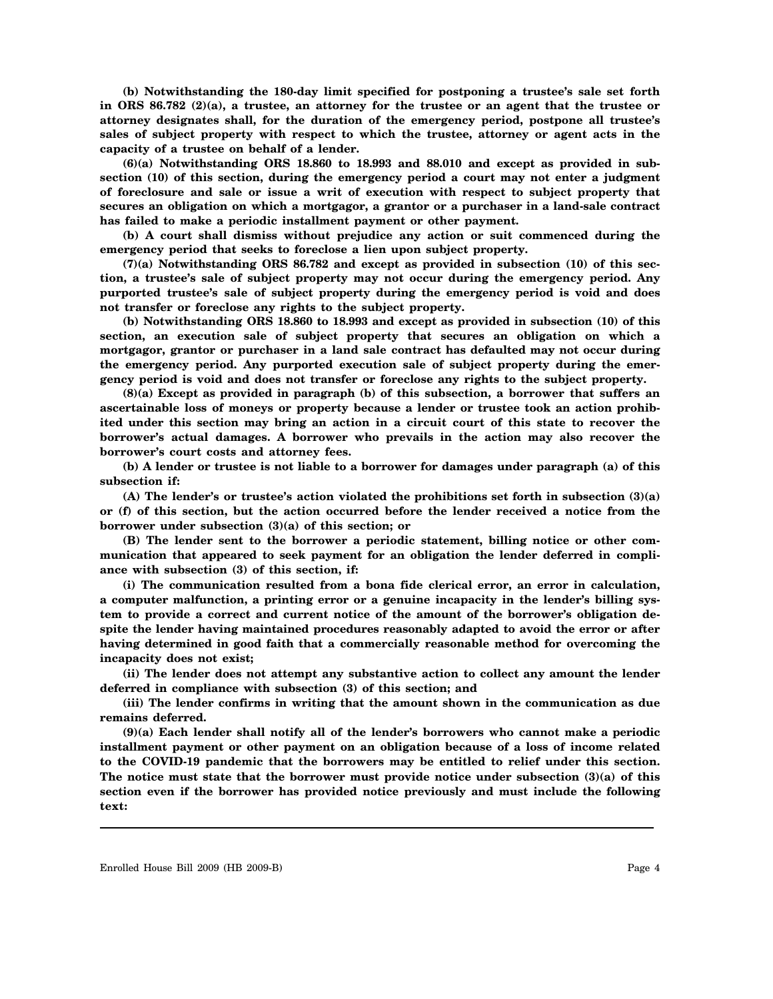**(b) Notwithstanding the 180-day limit specified for postponing a trustee's sale set forth in ORS 86.782 (2)(a), a trustee, an attorney for the trustee or an agent that the trustee or attorney designates shall, for the duration of the emergency period, postpone all trustee's sales of subject property with respect to which the trustee, attorney or agent acts in the capacity of a trustee on behalf of a lender.**

**(6)(a) Notwithstanding ORS 18.860 to 18.993 and 88.010 and except as provided in subsection (10) of this section, during the emergency period a court may not enter a judgment of foreclosure and sale or issue a writ of execution with respect to subject property that secures an obligation on which a mortgagor, a grantor or a purchaser in a land-sale contract has failed to make a periodic installment payment or other payment.**

**(b) A court shall dismiss without prejudice any action or suit commenced during the emergency period that seeks to foreclose a lien upon subject property.**

**(7)(a) Notwithstanding ORS 86.782 and except as provided in subsection (10) of this section, a trustee's sale of subject property may not occur during the emergency period. Any purported trustee's sale of subject property during the emergency period is void and does not transfer or foreclose any rights to the subject property.**

**(b) Notwithstanding ORS 18.860 to 18.993 and except as provided in subsection (10) of this section, an execution sale of subject property that secures an obligation on which a mortgagor, grantor or purchaser in a land sale contract has defaulted may not occur during the emergency period. Any purported execution sale of subject property during the emergency period is void and does not transfer or foreclose any rights to the subject property.**

**(8)(a) Except as provided in paragraph (b) of this subsection, a borrower that suffers an ascertainable loss of moneys or property because a lender or trustee took an action prohibited under this section may bring an action in a circuit court of this state to recover the borrower's actual damages. A borrower who prevails in the action may also recover the borrower's court costs and attorney fees.**

**(b) A lender or trustee is not liable to a borrower for damages under paragraph (a) of this subsection if:**

**(A) The lender's or trustee's action violated the prohibitions set forth in subsection (3)(a) or (f) of this section, but the action occurred before the lender received a notice from the borrower under subsection (3)(a) of this section; or**

**(B) The lender sent to the borrower a periodic statement, billing notice or other communication that appeared to seek payment for an obligation the lender deferred in compliance with subsection (3) of this section, if:**

**(i) The communication resulted from a bona fide clerical error, an error in calculation, a computer malfunction, a printing error or a genuine incapacity in the lender's billing system to provide a correct and current notice of the amount of the borrower's obligation despite the lender having maintained procedures reasonably adapted to avoid the error or after having determined in good faith that a commercially reasonable method for overcoming the incapacity does not exist;**

**(ii) The lender does not attempt any substantive action to collect any amount the lender deferred in compliance with subsection (3) of this section; and**

**(iii) The lender confirms in writing that the amount shown in the communication as due remains deferred.**

**(9)(a) Each lender shall notify all of the lender's borrowers who cannot make a periodic installment payment or other payment on an obligation because of a loss of income related to the COVID-19 pandemic that the borrowers may be entitled to relief under this section. The notice must state that the borrower must provide notice under subsection (3)(a) of this section even if the borrower has provided notice previously and must include the following text:**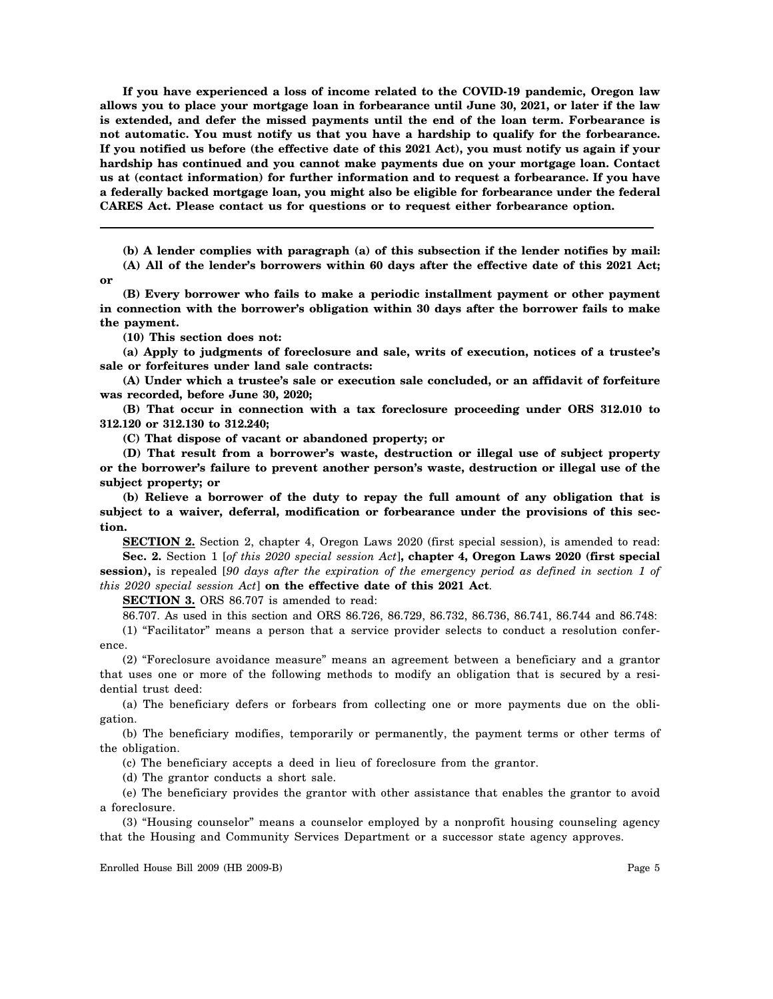**If you have experienced a loss of income related to the COVID-19 pandemic, Oregon law allows you to place your mortgage loan in forbearance until June 30, 2021, or later if the law is extended, and defer the missed payments until the end of the loan term. Forbearance is not automatic. You must notify us that you have a hardship to qualify for the forbearance. If you notified us before (the effective date of this 2021 Act), you must notify us again if your hardship has continued and you cannot make payments due on your mortgage loan. Contact us at (contact information) for further information and to request a forbearance. If you have a federally backed mortgage loan, you might also be eligible for forbearance under the federal CARES Act. Please contact us for questions or to request either forbearance option.**

**(b) A lender complies with paragraph (a) of this subsection if the lender notifies by mail: (A) All of the lender's borrowers within 60 days after the effective date of this 2021 Act;**

**or**

**(B) Every borrower who fails to make a periodic installment payment or other payment in connection with the borrower's obligation within 30 days after the borrower fails to make the payment.**

**(10) This section does not:**

**(a) Apply to judgments of foreclosure and sale, writs of execution, notices of a trustee's sale or forfeitures under land sale contracts:**

**(A) Under which a trustee's sale or execution sale concluded, or an affidavit of forfeiture was recorded, before June 30, 2020;**

**(B) That occur in connection with a tax foreclosure proceeding under ORS 312.010 to 312.120 or 312.130 to 312.240;**

**(C) That dispose of vacant or abandoned property; or**

**(D) That result from a borrower's waste, destruction or illegal use of subject property or the borrower's failure to prevent another person's waste, destruction or illegal use of the subject property; or**

**(b) Relieve a borrower of the duty to repay the full amount of any obligation that is subject to a waiver, deferral, modification or forbearance under the provisions of this section.**

**SECTION 2.** Section 2, chapter 4, Oregon Laws 2020 (first special session), is amended to read: **Sec. 2.** Section 1 [*of this 2020 special session Act*]**, chapter 4, Oregon Laws 2020 (first special session),** is repealed [*90 days after the expiration of the emergency period as defined in section 1 of this 2020 special session Act*] **on the effective date of this 2021 Act**.

**SECTION 3.** ORS 86.707 is amended to read:

86.707. As used in this section and ORS 86.726, 86.729, 86.732, 86.736, 86.741, 86.744 and 86.748:

(1) "Facilitator" means a person that a service provider selects to conduct a resolution conference.

(2) "Foreclosure avoidance measure" means an agreement between a beneficiary and a grantor that uses one or more of the following methods to modify an obligation that is secured by a residential trust deed:

(a) The beneficiary defers or forbears from collecting one or more payments due on the obligation.

(b) The beneficiary modifies, temporarily or permanently, the payment terms or other terms of the obligation.

(c) The beneficiary accepts a deed in lieu of foreclosure from the grantor.

(d) The grantor conducts a short sale.

(e) The beneficiary provides the grantor with other assistance that enables the grantor to avoid a foreclosure.

(3) "Housing counselor" means a counselor employed by a nonprofit housing counseling agency that the Housing and Community Services Department or a successor state agency approves.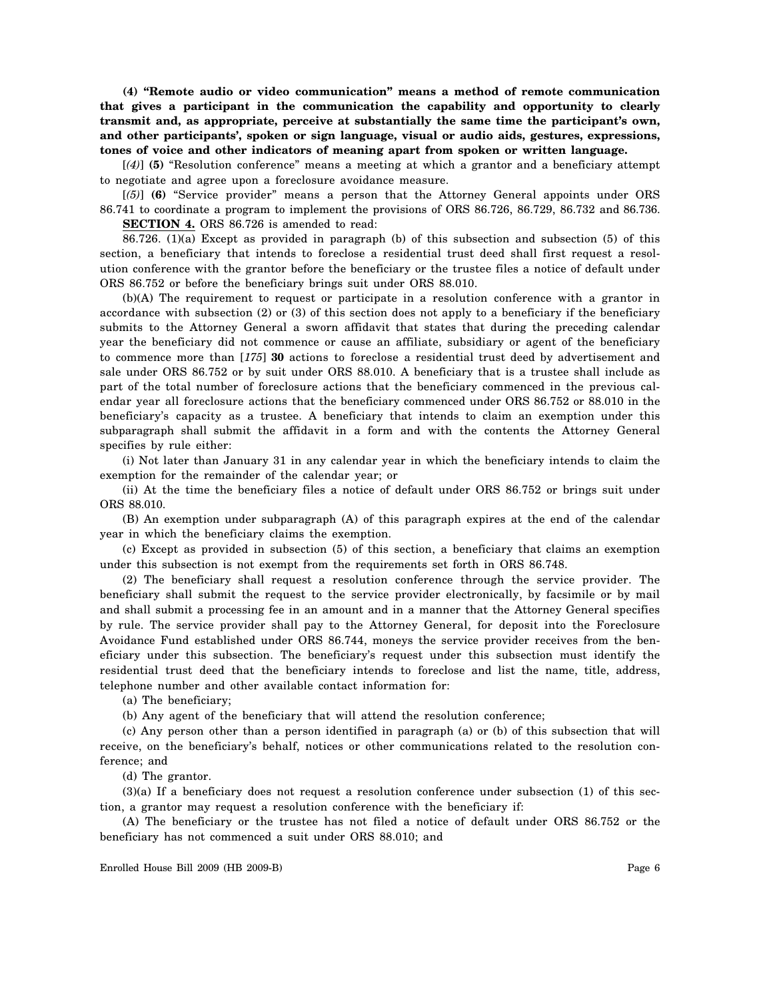**(4) "Remote audio or video communication" means a method of remote communication that gives a participant in the communication the capability and opportunity to clearly transmit and, as appropriate, perceive at substantially the same time the participant's own, and other participants', spoken or sign language, visual or audio aids, gestures, expressions, tones of voice and other indicators of meaning apart from spoken or written language.**

[*(4)*] **(5)** "Resolution conference" means a meeting at which a grantor and a beneficiary attempt to negotiate and agree upon a foreclosure avoidance measure.

[*(5)*] **(6)** "Service provider" means a person that the Attorney General appoints under ORS 86.741 to coordinate a program to implement the provisions of ORS 86.726, 86.729, 86.732 and 86.736. **SECTION 4.** ORS 86.726 is amended to read:

86.726. (1)(a) Except as provided in paragraph (b) of this subsection and subsection (5) of this section, a beneficiary that intends to foreclose a residential trust deed shall first request a resolution conference with the grantor before the beneficiary or the trustee files a notice of default under ORS 86.752 or before the beneficiary brings suit under ORS 88.010.

(b)(A) The requirement to request or participate in a resolution conference with a grantor in accordance with subsection (2) or (3) of this section does not apply to a beneficiary if the beneficiary submits to the Attorney General a sworn affidavit that states that during the preceding calendar year the beneficiary did not commence or cause an affiliate, subsidiary or agent of the beneficiary to commence more than [*175*] **30** actions to foreclose a residential trust deed by advertisement and sale under ORS 86.752 or by suit under ORS 88.010. A beneficiary that is a trustee shall include as part of the total number of foreclosure actions that the beneficiary commenced in the previous calendar year all foreclosure actions that the beneficiary commenced under ORS 86.752 or 88.010 in the beneficiary's capacity as a trustee. A beneficiary that intends to claim an exemption under this subparagraph shall submit the affidavit in a form and with the contents the Attorney General specifies by rule either:

(i) Not later than January 31 in any calendar year in which the beneficiary intends to claim the exemption for the remainder of the calendar year; or

(ii) At the time the beneficiary files a notice of default under ORS 86.752 or brings suit under ORS 88.010.

(B) An exemption under subparagraph (A) of this paragraph expires at the end of the calendar year in which the beneficiary claims the exemption.

(c) Except as provided in subsection (5) of this section, a beneficiary that claims an exemption under this subsection is not exempt from the requirements set forth in ORS 86.748.

(2) The beneficiary shall request a resolution conference through the service provider. The beneficiary shall submit the request to the service provider electronically, by facsimile or by mail and shall submit a processing fee in an amount and in a manner that the Attorney General specifies by rule. The service provider shall pay to the Attorney General, for deposit into the Foreclosure Avoidance Fund established under ORS 86.744, moneys the service provider receives from the beneficiary under this subsection. The beneficiary's request under this subsection must identify the residential trust deed that the beneficiary intends to foreclose and list the name, title, address, telephone number and other available contact information for:

(a) The beneficiary;

(b) Any agent of the beneficiary that will attend the resolution conference;

(c) Any person other than a person identified in paragraph (a) or (b) of this subsection that will receive, on the beneficiary's behalf, notices or other communications related to the resolution conference; and

(d) The grantor.

(3)(a) If a beneficiary does not request a resolution conference under subsection (1) of this section, a grantor may request a resolution conference with the beneficiary if:

(A) The beneficiary or the trustee has not filed a notice of default under ORS 86.752 or the beneficiary has not commenced a suit under ORS 88.010; and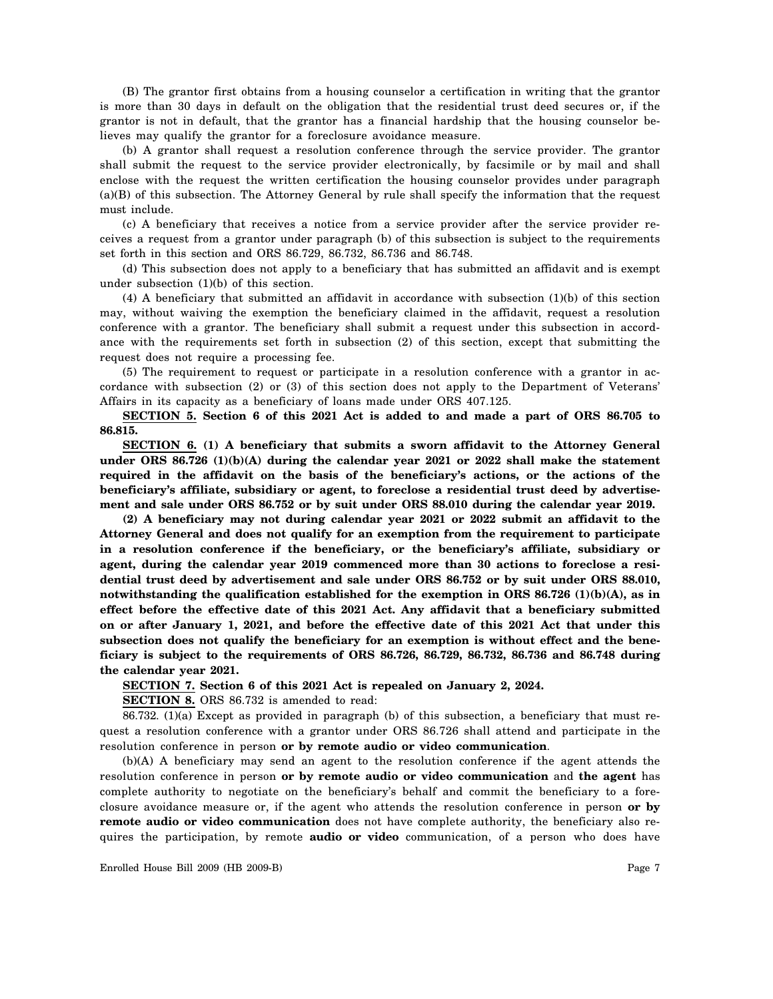(B) The grantor first obtains from a housing counselor a certification in writing that the grantor is more than 30 days in default on the obligation that the residential trust deed secures or, if the grantor is not in default, that the grantor has a financial hardship that the housing counselor believes may qualify the grantor for a foreclosure avoidance measure.

(b) A grantor shall request a resolution conference through the service provider. The grantor shall submit the request to the service provider electronically, by facsimile or by mail and shall enclose with the request the written certification the housing counselor provides under paragraph (a)(B) of this subsection. The Attorney General by rule shall specify the information that the request must include.

(c) A beneficiary that receives a notice from a service provider after the service provider receives a request from a grantor under paragraph (b) of this subsection is subject to the requirements set forth in this section and ORS 86.729, 86.732, 86.736 and 86.748.

(d) This subsection does not apply to a beneficiary that has submitted an affidavit and is exempt under subsection (1)(b) of this section.

(4) A beneficiary that submitted an affidavit in accordance with subsection (1)(b) of this section may, without waiving the exemption the beneficiary claimed in the affidavit, request a resolution conference with a grantor. The beneficiary shall submit a request under this subsection in accordance with the requirements set forth in subsection (2) of this section, except that submitting the request does not require a processing fee.

(5) The requirement to request or participate in a resolution conference with a grantor in accordance with subsection (2) or (3) of this section does not apply to the Department of Veterans' Affairs in its capacity as a beneficiary of loans made under ORS 407.125.

**SECTION 5. Section 6 of this 2021 Act is added to and made a part of ORS 86.705 to 86.815.**

**SECTION 6. (1) A beneficiary that submits a sworn affidavit to the Attorney General under ORS 86.726 (1)(b)(A) during the calendar year 2021 or 2022 shall make the statement required in the affidavit on the basis of the beneficiary's actions, or the actions of the beneficiary's affiliate, subsidiary or agent, to foreclose a residential trust deed by advertisement and sale under ORS 86.752 or by suit under ORS 88.010 during the calendar year 2019.**

**(2) A beneficiary may not during calendar year 2021 or 2022 submit an affidavit to the Attorney General and does not qualify for an exemption from the requirement to participate in a resolution conference if the beneficiary, or the beneficiary's affiliate, subsidiary or agent, during the calendar year 2019 commenced more than 30 actions to foreclose a residential trust deed by advertisement and sale under ORS 86.752 or by suit under ORS 88.010, notwithstanding the qualification established for the exemption in ORS 86.726 (1)(b)(A), as in effect before the effective date of this 2021 Act. Any affidavit that a beneficiary submitted on or after January 1, 2021, and before the effective date of this 2021 Act that under this subsection does not qualify the beneficiary for an exemption is without effect and the beneficiary is subject to the requirements of ORS 86.726, 86.729, 86.732, 86.736 and 86.748 during the calendar year 2021.**

**SECTION 7. Section 6 of this 2021 Act is repealed on January 2, 2024.**

**SECTION 8.** ORS 86.732 is amended to read:

86.732. (1)(a) Except as provided in paragraph (b) of this subsection, a beneficiary that must request a resolution conference with a grantor under ORS 86.726 shall attend and participate in the resolution conference in person **or by remote audio or video communication**.

(b)(A) A beneficiary may send an agent to the resolution conference if the agent attends the resolution conference in person **or by remote audio or video communication** and **the agent** has complete authority to negotiate on the beneficiary's behalf and commit the beneficiary to a foreclosure avoidance measure or, if the agent who attends the resolution conference in person **or by remote audio or video communication** does not have complete authority, the beneficiary also requires the participation, by remote **audio or video** communication, of a person who does have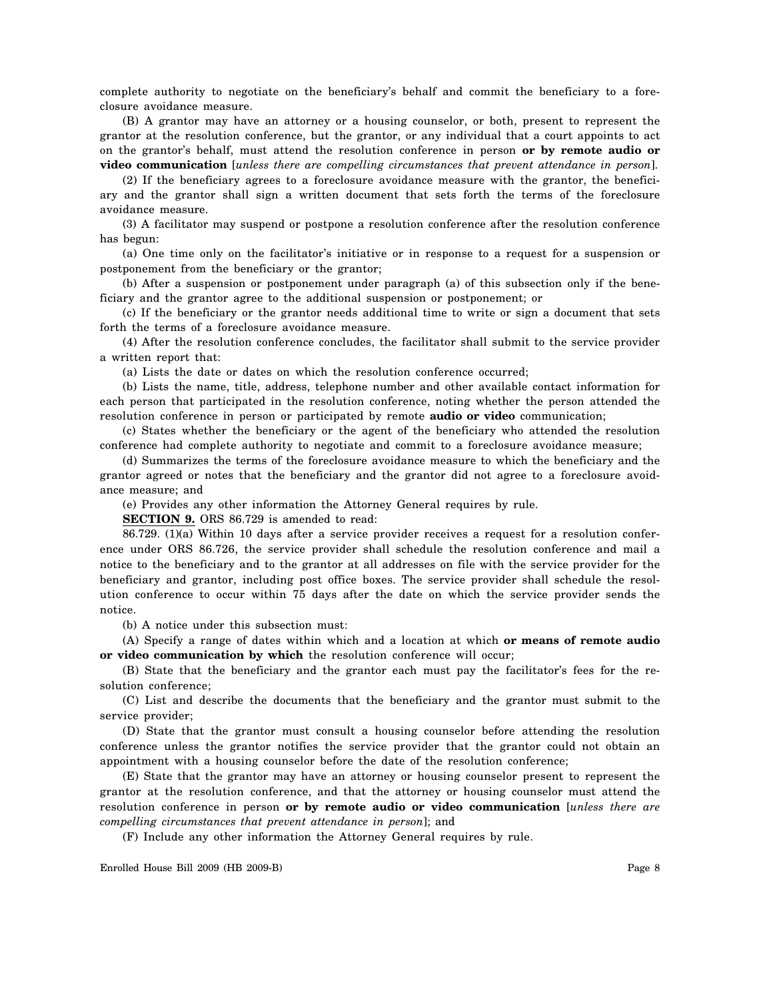complete authority to negotiate on the beneficiary's behalf and commit the beneficiary to a foreclosure avoidance measure.

(B) A grantor may have an attorney or a housing counselor, or both, present to represent the grantor at the resolution conference, but the grantor, or any individual that a court appoints to act on the grantor's behalf, must attend the resolution conference in person **or by remote audio or video communication** [*unless there are compelling circumstances that prevent attendance in person*].

(2) If the beneficiary agrees to a foreclosure avoidance measure with the grantor, the beneficiary and the grantor shall sign a written document that sets forth the terms of the foreclosure avoidance measure.

(3) A facilitator may suspend or postpone a resolution conference after the resolution conference has begun:

(a) One time only on the facilitator's initiative or in response to a request for a suspension or postponement from the beneficiary or the grantor;

(b) After a suspension or postponement under paragraph (a) of this subsection only if the beneficiary and the grantor agree to the additional suspension or postponement; or

(c) If the beneficiary or the grantor needs additional time to write or sign a document that sets forth the terms of a foreclosure avoidance measure.

(4) After the resolution conference concludes, the facilitator shall submit to the service provider a written report that:

(a) Lists the date or dates on which the resolution conference occurred;

(b) Lists the name, title, address, telephone number and other available contact information for each person that participated in the resolution conference, noting whether the person attended the resolution conference in person or participated by remote **audio or video** communication;

(c) States whether the beneficiary or the agent of the beneficiary who attended the resolution conference had complete authority to negotiate and commit to a foreclosure avoidance measure;

(d) Summarizes the terms of the foreclosure avoidance measure to which the beneficiary and the grantor agreed or notes that the beneficiary and the grantor did not agree to a foreclosure avoidance measure; and

(e) Provides any other information the Attorney General requires by rule.

**SECTION 9.** ORS 86.729 is amended to read:

86.729. (1)(a) Within 10 days after a service provider receives a request for a resolution conference under ORS 86.726, the service provider shall schedule the resolution conference and mail a notice to the beneficiary and to the grantor at all addresses on file with the service provider for the beneficiary and grantor, including post office boxes. The service provider shall schedule the resolution conference to occur within 75 days after the date on which the service provider sends the notice.

(b) A notice under this subsection must:

(A) Specify a range of dates within which and a location at which **or means of remote audio or video communication by which** the resolution conference will occur;

(B) State that the beneficiary and the grantor each must pay the facilitator's fees for the resolution conference;

(C) List and describe the documents that the beneficiary and the grantor must submit to the service provider;

(D) State that the grantor must consult a housing counselor before attending the resolution conference unless the grantor notifies the service provider that the grantor could not obtain an appointment with a housing counselor before the date of the resolution conference;

(E) State that the grantor may have an attorney or housing counselor present to represent the grantor at the resolution conference, and that the attorney or housing counselor must attend the resolution conference in person **or by remote audio or video communication** [*unless there are compelling circumstances that prevent attendance in person*]; and

(F) Include any other information the Attorney General requires by rule.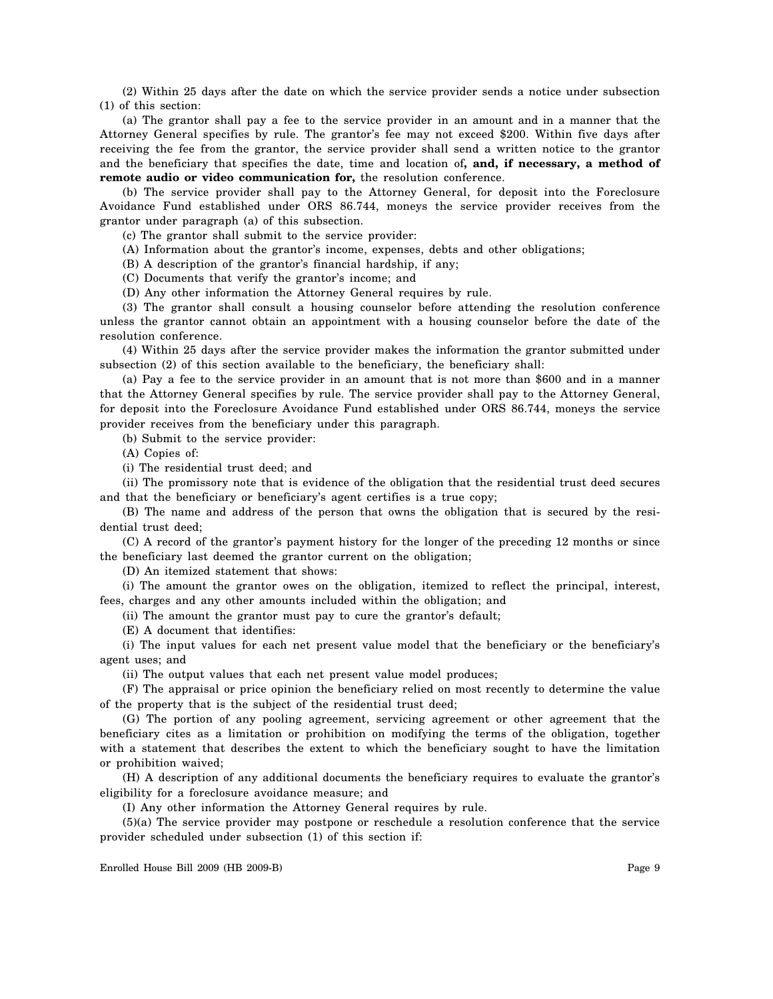(2) Within 25 days after the date on which the service provider sends a notice under subsection (1) of this section:

(a) The grantor shall pay a fee to the service provider in an amount and in a manner that the Attorney General specifies by rule. The grantor's fee may not exceed \$200. Within five days after receiving the fee from the grantor, the service provider shall send a written notice to the grantor and the beneficiary that specifies the date, time and location of**, and, if necessary, a method of remote audio or video communication for,** the resolution conference.

(b) The service provider shall pay to the Attorney General, for deposit into the Foreclosure Avoidance Fund established under ORS 86.744, moneys the service provider receives from the grantor under paragraph (a) of this subsection.

(c) The grantor shall submit to the service provider:

(A) Information about the grantor's income, expenses, debts and other obligations;

(B) A description of the grantor's financial hardship, if any;

(C) Documents that verify the grantor's income; and

(D) Any other information the Attorney General requires by rule.

(3) The grantor shall consult a housing counselor before attending the resolution conference unless the grantor cannot obtain an appointment with a housing counselor before the date of the resolution conference.

(4) Within 25 days after the service provider makes the information the grantor submitted under subsection (2) of this section available to the beneficiary, the beneficiary shall:

(a) Pay a fee to the service provider in an amount that is not more than \$600 and in a manner that the Attorney General specifies by rule. The service provider shall pay to the Attorney General, for deposit into the Foreclosure Avoidance Fund established under ORS 86.744, moneys the service provider receives from the beneficiary under this paragraph.

(b) Submit to the service provider:

(A) Copies of:

(i) The residential trust deed; and

(ii) The promissory note that is evidence of the obligation that the residential trust deed secures and that the beneficiary or beneficiary's agent certifies is a true copy;

(B) The name and address of the person that owns the obligation that is secured by the residential trust deed;

(C) A record of the grantor's payment history for the longer of the preceding 12 months or since the beneficiary last deemed the grantor current on the obligation;

(D) An itemized statement that shows:

(i) The amount the grantor owes on the obligation, itemized to reflect the principal, interest, fees, charges and any other amounts included within the obligation; and

(ii) The amount the grantor must pay to cure the grantor's default;

(E) A document that identifies:

(i) The input values for each net present value model that the beneficiary or the beneficiary's agent uses; and

(ii) The output values that each net present value model produces;

(F) The appraisal or price opinion the beneficiary relied on most recently to determine the value of the property that is the subject of the residential trust deed;

(G) The portion of any pooling agreement, servicing agreement or other agreement that the beneficiary cites as a limitation or prohibition on modifying the terms of the obligation, together with a statement that describes the extent to which the beneficiary sought to have the limitation or prohibition waived;

(H) A description of any additional documents the beneficiary requires to evaluate the grantor's eligibility for a foreclosure avoidance measure; and

(I) Any other information the Attorney General requires by rule.

(5)(a) The service provider may postpone or reschedule a resolution conference that the service provider scheduled under subsection (1) of this section if: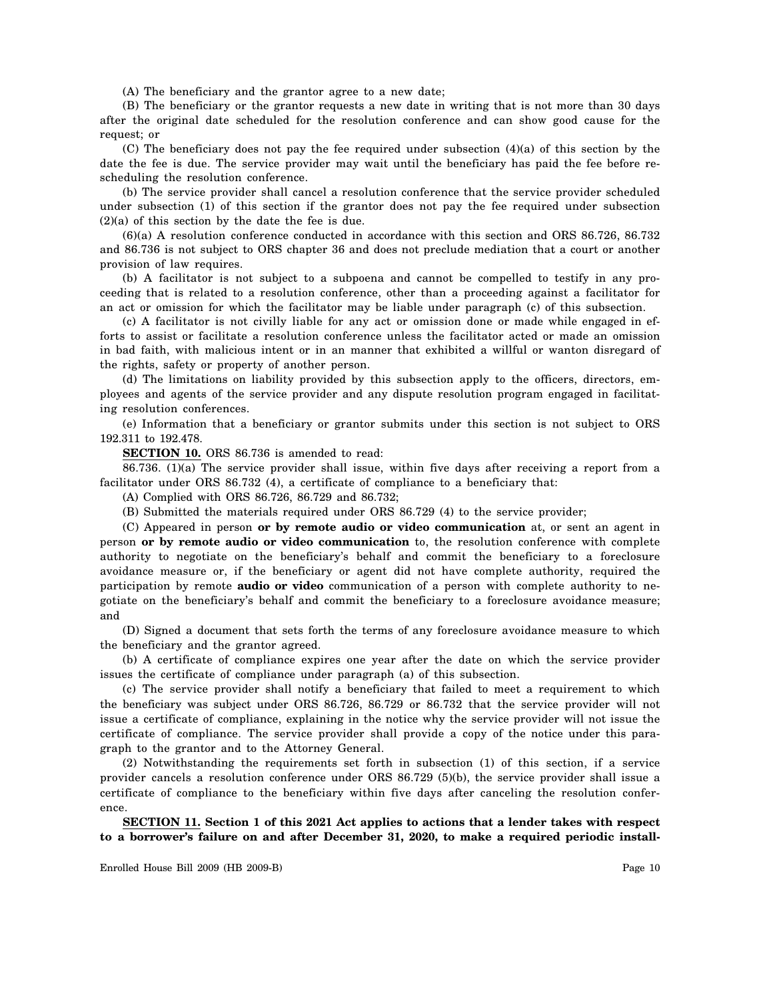(A) The beneficiary and the grantor agree to a new date;

(B) The beneficiary or the grantor requests a new date in writing that is not more than 30 days after the original date scheduled for the resolution conference and can show good cause for the request; or

(C) The beneficiary does not pay the fee required under subsection (4)(a) of this section by the date the fee is due. The service provider may wait until the beneficiary has paid the fee before rescheduling the resolution conference.

(b) The service provider shall cancel a resolution conference that the service provider scheduled under subsection (1) of this section if the grantor does not pay the fee required under subsection (2)(a) of this section by the date the fee is due.

(6)(a) A resolution conference conducted in accordance with this section and ORS 86.726, 86.732 and 86.736 is not subject to ORS chapter 36 and does not preclude mediation that a court or another provision of law requires.

(b) A facilitator is not subject to a subpoena and cannot be compelled to testify in any proceeding that is related to a resolution conference, other than a proceeding against a facilitator for an act or omission for which the facilitator may be liable under paragraph (c) of this subsection.

(c) A facilitator is not civilly liable for any act or omission done or made while engaged in efforts to assist or facilitate a resolution conference unless the facilitator acted or made an omission in bad faith, with malicious intent or in an manner that exhibited a willful or wanton disregard of the rights, safety or property of another person.

(d) The limitations on liability provided by this subsection apply to the officers, directors, employees and agents of the service provider and any dispute resolution program engaged in facilitating resolution conferences.

(e) Information that a beneficiary or grantor submits under this section is not subject to ORS 192.311 to 192.478.

**SECTION 10.** ORS 86.736 is amended to read:

86.736. (1)(a) The service provider shall issue, within five days after receiving a report from a facilitator under ORS 86.732 (4), a certificate of compliance to a beneficiary that:

(A) Complied with ORS 86.726, 86.729 and 86.732;

(B) Submitted the materials required under ORS 86.729 (4) to the service provider;

(C) Appeared in person **or by remote audio or video communication** at, or sent an agent in person **or by remote audio or video communication** to, the resolution conference with complete authority to negotiate on the beneficiary's behalf and commit the beneficiary to a foreclosure avoidance measure or, if the beneficiary or agent did not have complete authority, required the participation by remote **audio or video** communication of a person with complete authority to negotiate on the beneficiary's behalf and commit the beneficiary to a foreclosure avoidance measure; and

(D) Signed a document that sets forth the terms of any foreclosure avoidance measure to which the beneficiary and the grantor agreed.

(b) A certificate of compliance expires one year after the date on which the service provider issues the certificate of compliance under paragraph (a) of this subsection.

(c) The service provider shall notify a beneficiary that failed to meet a requirement to which the beneficiary was subject under ORS 86.726, 86.729 or 86.732 that the service provider will not issue a certificate of compliance, explaining in the notice why the service provider will not issue the certificate of compliance. The service provider shall provide a copy of the notice under this paragraph to the grantor and to the Attorney General.

(2) Notwithstanding the requirements set forth in subsection (1) of this section, if a service provider cancels a resolution conference under ORS 86.729 (5)(b), the service provider shall issue a certificate of compliance to the beneficiary within five days after canceling the resolution conference.

**SECTION 11. Section 1 of this 2021 Act applies to actions that a lender takes with respect to a borrower's failure on and after December 31, 2020, to make a required periodic install-**